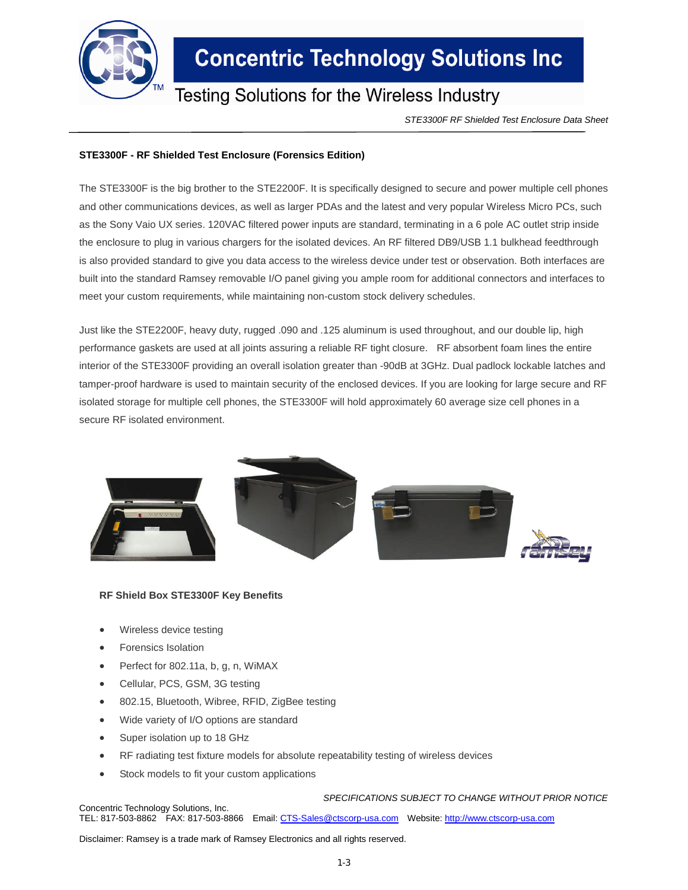

## **Concentric Technology Solutions Inc**

### **Testing Solutions for the Wireless Industry**

*STE3300F RF Shielded Test Enclosure Data Sheet*

### **STE3300F - RF Shielded Test Enclosure (Forensics Edition)**

The STE3300F is the big brother to the STE2200F. It is specifically designed to secure and power multiple cell phones and other communications devices, as well as larger PDAs and the latest and very popular Wireless Micro PCs, such as the Sony Vaio UX series. 120VAC filtered power inputs are standard, terminating in a 6 pole AC outlet strip inside the enclosure to plug in various chargers for the isolated devices. An RF filtered DB9/USB 1.1 bulkhead feedthrough is also provided standard to give you data access to the wireless device under test or observation. Both interfaces are built into the standard Ramsey removable I/O panel giving you ample room for additional connectors and interfaces to meet your custom requirements, while maintaining non-custom stock delivery schedules.

Just like the STE2200F, heavy duty, rugged .090 and .125 aluminum is used throughout, and our double lip, high performance gaskets are used at all joints assuring a reliable RF tight closure. RF absorbent foam lines the entire interior of the STE3300F providing an overall isolation greater than -90dB at 3GHz. Dual padlock lockable latches and tamper-proof hardware is used to maintain security of the enclosed devices. If you are looking for large secure and RF isolated storage for multiple cell phones, the STE3300F will hold approximately 60 average size cell phones in a secure RF isolated environment.



#### **RF Shield Box STE3300F Key Benefits**

- Wireless device testing
- Forensics Isolation
- Perfect for 802.11a, b, g, n, WiMAX
- Cellular, PCS, GSM, 3G testing
- 802.15, Bluetooth, Wibree, RFID, ZigBee testing
- Wide variety of I/O options are standard
- Super isolation up to 18 GHz
- RF radiating test fixture models for absolute repeatability testing of wireless devices
- Stock models to fit your custom applications

*SPECIFICATIONS SUBJECT TO CHANGE WITHOUT PRIOR NOTICE* Concentric Technology Solutions, Inc. TEL: 817-503-8862 FAX: 817-503-8866 Email: CTS-Sales@ctscorp-usa.com Website: http://www.ctscorp-usa.com

Disclaimer: Ramsey is a trade mark of Ramsey Electronics and all rights reserved.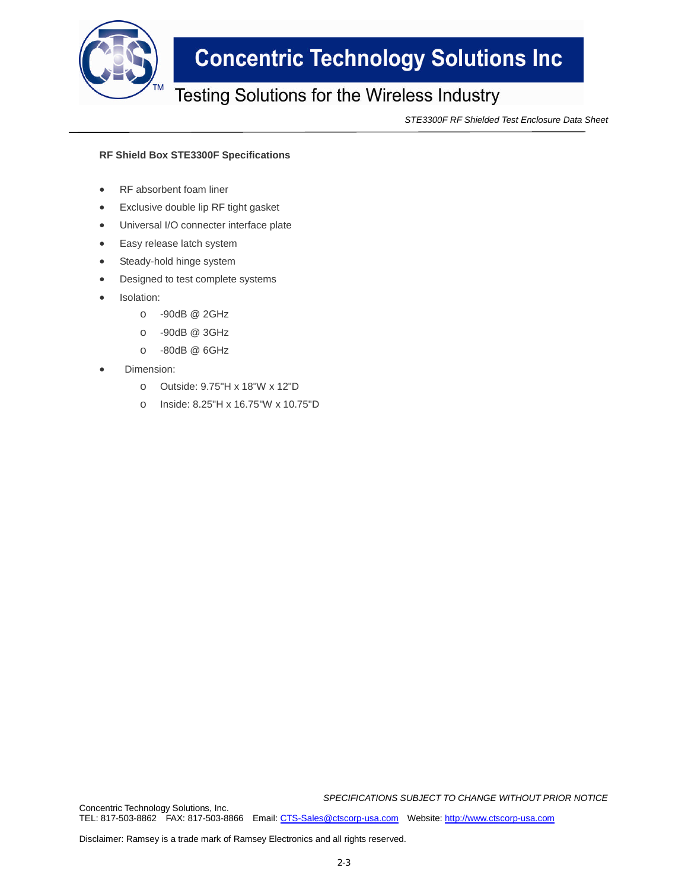

# **Concentric Technology Solutions Inc**

### Testing Solutions for the Wireless Industry

*STE3300F RF Shielded Test Enclosure Data Sheet*

#### **RF Shield Box STE3300F Specifications**

- RF absorbent foam liner
- Exclusive double lip RF tight gasket
- Universal I/O connecter interface plate
- Easy release latch system
- Steady-hold hinge system
- Designed to test complete systems
- Isolation:
	- o -90dB @ 2GHz
	- o -90dB @ 3GHz
	- o -80dB @ 6GHz
- Dimension:
	- o Outside: 9.75"H x 18"W x 12"D
	- o Inside: 8.25"H x 16.75"W x 10.75"D

*SPECIFICATIONS SUBJECT TO CHANGE WITHOUT PRIOR NOTICE* Concentric Technology Solutions, Inc.